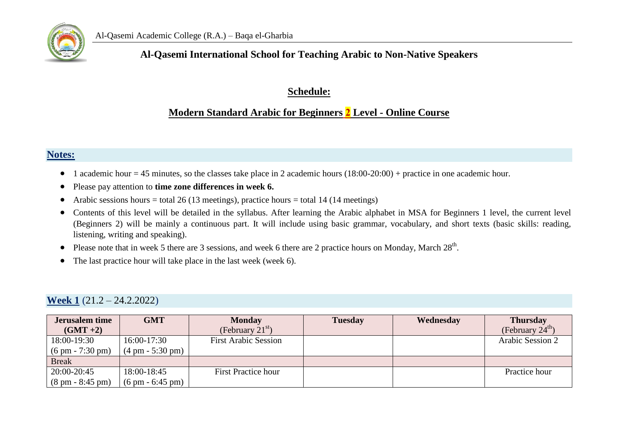

### **Al-Qasemi International School for Teaching Arabic to Non-Native Speakers**

#### **Schedule:**

### **Modern Standard Arabic for Beginners 2 Level - Online Course**

#### **Notes:**

- 1 academic hour = 45 minutes, so the classes take place in 2 academic hours  $(18:00-20:00)$  + practice in one academic hour.
- Please pay attention to **time zone differences in week 6.**
- Arabic sessions hours = total 26 (13 meetings), practice hours = total 14 (14 meetings)
- Contents of this level will be detailed in the syllabus. After learning the Arabic alphabet in MSA for Beginners 1 level, the current level (Beginners 2) will be mainly a continuous part. It will include using basic grammar, vocabulary, and short texts (basic skills: reading, listening, writing and speaking).
- Please note that in week 5 there are 3 sessions, and week 6 there are 2 practice hours on Monday, March  $28<sup>th</sup>$ .
- The last practice hour will take place in the last week (week 6).

#### **Week 1** (21.2 – 24.2.2022)

| <b>Jerusalem time</b>              | <b>GMT</b>                         | <b>Monday</b>               | <b>Tuesday</b> | Wednesday | <b>Thursday</b>             |
|------------------------------------|------------------------------------|-----------------------------|----------------|-----------|-----------------------------|
| $(GMT + 2)$                        |                                    | (February $21st$ )          |                |           | (February $24^{\text{m}}$ ) |
| 18:00-19:30                        | 16:00-17:30                        | <b>First Arabic Session</b> |                |           | Arabic Session 2            |
| $(6 \text{ pm} - 7:30 \text{ pm})$ | $(4 \text{ pm} - 5:30 \text{ pm})$ |                             |                |           |                             |
| <b>Break</b>                       |                                    |                             |                |           |                             |
| 20:00-20:45                        | 18:00-18:45                        | <b>First Practice hour</b>  |                |           | Practice hour               |
| $(8 \text{ pm} - 8:45 \text{ pm})$ | $(6 \text{ pm} - 6:45 \text{ pm})$ |                             |                |           |                             |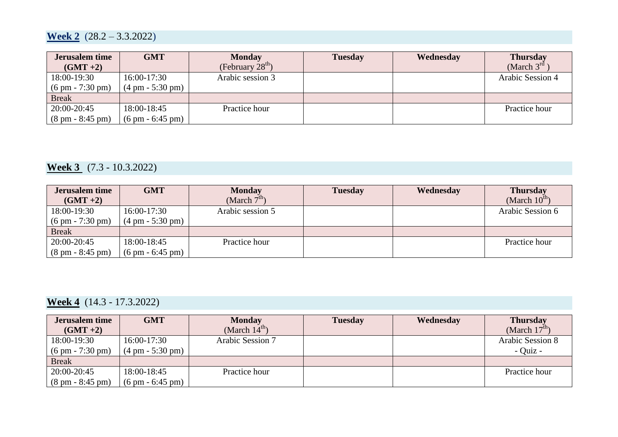## **Week 2** (28.2 – 3.3.2022)

| <b>Jerusalem time</b><br>$(GMT + 2)$ | <b>GMT</b>                         | <b>Monday</b><br>(February $28th$ ) | <b>Tuesday</b> | Wednesday | <b>Thursday</b><br>(March $3^{rd}$ ) |
|--------------------------------------|------------------------------------|-------------------------------------|----------------|-----------|--------------------------------------|
| 18:00-19:30                          | 16:00-17:30                        | Arabic session 3                    |                |           | Arabic Session 4                     |
| $(6 \text{ pm} - 7:30 \text{ pm})$   | $(4 \text{ pm} - 5:30 \text{ pm})$ |                                     |                |           |                                      |
| <b>Break</b>                         |                                    |                                     |                |           |                                      |
| 20:00-20:45                          | 18:00-18:45                        | Practice hour                       |                |           | Practice hour                        |
| $(8 \text{ pm} - 8:45 \text{ pm})$   | $(6 \text{ pm} - 6:45 \text{ pm})$ |                                     |                |           |                                      |

## **Week 3** (7.3 - 10.3.2022)

| <b>Jerusalem time</b>              | <b>GMT</b>                         | <b>Monday</b>    | <b>Tuesday</b> | Wednesday | <b>Thursday</b>           |
|------------------------------------|------------------------------------|------------------|----------------|-----------|---------------------------|
| $(GMT + 2)$                        |                                    | (March $7tn$ )   |                |           | (March $10^{\text{th}}$ ) |
| 18:00-19:30                        | $16:00-17:30$                      | Arabic session 5 |                |           | Arabic Session 6          |
| $(6 \text{ pm} - 7:30 \text{ pm})$ | $(4 \text{ pm} - 5:30 \text{ pm})$ |                  |                |           |                           |
| <b>Break</b>                       |                                    |                  |                |           |                           |
| 20:00-20:45                        | 18:00-18:45                        | Practice hour    |                |           | Practice hour             |
| $(8 \text{ pm} - 8:45 \text{ pm})$ | $(6 \text{ pm} - 6:45 \text{ pm})$ |                  |                |           |                           |

# **Week 4** (14.3 - 17.3.2022)

| <b>Jerusalem time</b>              | <b>GMT</b>                         | <b>Monday</b>             | <b>Tuesday</b> | Wednesday | <b>Thursday</b>           |
|------------------------------------|------------------------------------|---------------------------|----------------|-----------|---------------------------|
| $(GMT + 2)$                        |                                    | (March $14^{\text{th}}$ ) |                |           | (March $17^{\text{th}}$ ) |
| 18:00-19:30                        | $16:00-17:30$                      | Arabic Session 7          |                |           | Arabic Session 8          |
| $(6 \text{ pm} - 7:30 \text{ pm})$ | $(4 \text{ pm} - 5:30 \text{ pm})$ |                           |                |           | - Quiz -                  |
| <b>Break</b>                       |                                    |                           |                |           |                           |
| 20:00-20:45                        | 18:00-18:45                        | Practice hour             |                |           | Practice hour             |
| $(8 \text{ pm} - 8:45 \text{ pm})$ | $(6 \text{ pm} - 6:45 \text{ pm})$ |                           |                |           |                           |